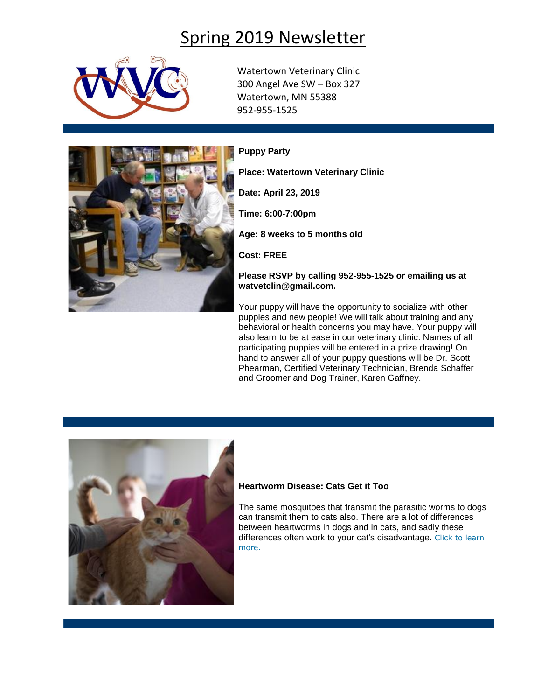## Spring 2019 Newsletter



Watertown Veterinary Clinic 300 Angel Ave SW – Box 327 Watertown, MN 55388 952-955-1525



**Puppy Party**

**Place: Watertown Veterinary Clinic**

**Date: April 23, 2019**

**Time: 6:00-7:00pm**

**Age: 8 weeks to 5 months old**

**Cost: FREE**

**Please RSVP by calling 952-955-1525 or emailing us at watvetclin@gmail.com.**

Your puppy will have the opportunity to socialize with other puppies and new people! We will talk about training and any behavioral or health concerns you may have. Your puppy will also learn to be at ease in our veterinary clinic. Names of all participating puppies will be entered in a prize drawing! On hand to answer all of your puppy questions will be Dr. Scott Phearman, Certified Veterinary Technician, Brenda Schaffer and Groomer and Dog Trainer, Karen Gaffney.



## **Heartworm Disease: Cats Get it Too**

The same mosquitoes that transmit the parasitic worms to dogs can transmit them to cats also. There are a lot of differences between heartworms in dogs and in cats, and sadly these differences often work to your cat's disadvantage. [Click to learn](http://www.pethealthnetwork.com/cat-health/cat-diseases-conditions-a-z/heartworm-disease-cats-get-it-too)  [more.](http://www.pethealthnetwork.com/cat-health/cat-diseases-conditions-a-z/heartworm-disease-cats-get-it-too)